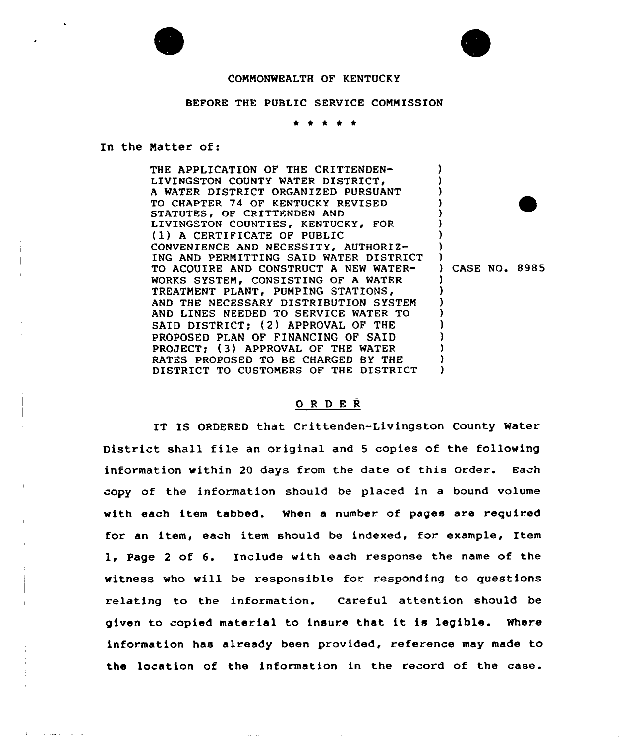



#### CONNONWEALTH OF KENTUCKY

#### BEFORE THE PUBLIC SERVICE CONNISSION

In the Natter of:

 $\alpha$  is a state and  $\alpha$  is a  $\alpha$ 

THE APPLICATION OF THE CRITTENDEN-LIVINGSTON COUNTY WATER DISTRICT, <sup>A</sup> WATER DISTRICT ORGANIZED PURSUANT TO CHAPTER 74 OF KENTUCKY REVISED STATUTES, OF CRITTENDEN AND LIVINGSTON COUNTIES, KENTUCKY, FOR (1) <sup>A</sup> CERTIFICATE OF PUBLIC CONVENIENCE AND NECESSITY, AUTHORIZ-ING AND PERNITTING SAID WATER DISTRICT TO ACQUIRE AND CONSTRUCT A NEW WATER-WORKS SYSTEM, CONSISTING OF A WATER TREATMENT PLANT, PUMPING STATIONS, AND THE NECESSARY DISTRIBUTION SYSTEM AND LINES NEEDED TO SERVICE WATER TO SAID DISTRICT; (2) APPROVAL OF THE PROPOSED PLAN OF FINANCING OF SAID PROJECT: (3) APPROVAL OF THE WATER RATES PROPOSED TO BE CHARGED BY THE DISTRICT TO CUSTONERS OF THE DISTRICT )  $\bullet$ ) ) ) ) ) ) CASE NO. 8985 ) ) ) ) ) ) ) ) )

### 0 <sup>R</sup> <sup>D</sup> E R

IT IS ORDERED that Crittenden-Livingston County Water District shall file an original and <sup>5</sup> copies of the following information within 20 days from the date of this Order. Each copy of the information should be placed in a bound volume with each item tabbed. When a number of pages are required for an item, each item should be indexed, for. example, Item l, Page <sup>2</sup> of 6. Include with each response the name of the witness who will be responsible for responding to questions relating to the information. Careful attention should be given to copied material to insure that it is legible. Where information has already been provided, reference may made to the location of the information in the record of the case.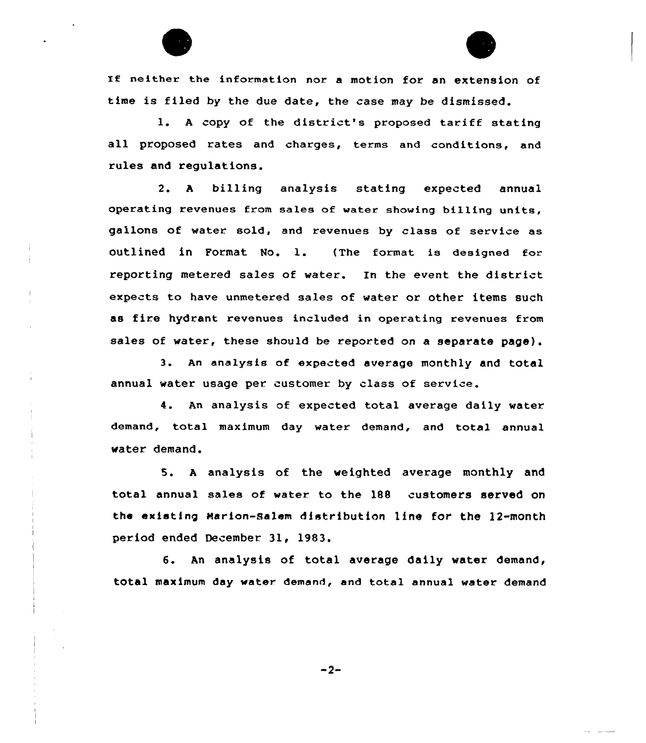

IE neither the information nor a motion for an extension of time is filed by the due date, the case may be dismissed.

l. <sup>A</sup> copy of the district's proposed tariff stating all proposed rates and charges, terms and conditions, and rules and regulations.

2. <sup>A</sup> billing analysis stating expected annual operating revenues from sales of water showing billing units, gallons of water sold, and revenues by class of service as outlined in Format No. l. (The format is designed for reporting metered sales of water. En the event the district expects to have unmetered sales of water or other items such as fire hydrant revenues included in operating revenues from sales of water, these should be reported on a separate page).

3. An analysis of expected average monthly and total annual water usage per customer by class of service.

4. An analysis of expected total average daily water demand, total maximum day water demand, and total annual water demand.

5. <sup>A</sup> analysis of the weighted average monthly and total annual sales of water to the 188 customers served on the existing Marion-Salem distribution line for the 12-month period ended December 31, 1983.

6. An analysis of total average daily water demand, tOtal maximum day water. demand, and total annual water demand

 $-2-$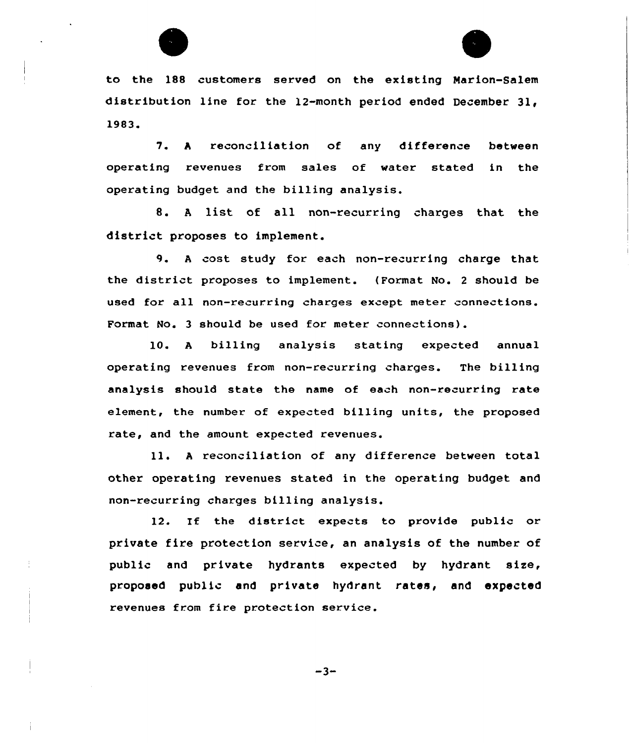

to the 188 customers served on the existing Marion-Salem distribution line for the 12-month period ended December 3l, 1983.

7. <sup>h</sup> reconciliation of any difference between operating revenues from sales of water stated in the operating budget and the billing analysis.

8. A list of all non-recurring charges that the district proposes to implement.

9. A cost study for each non-recurring charge that the district proposes to implement. (Format No. 2 should be used for all non-recurring charges except meter connections. Format No. 3 should be used for meter connections).

10. <sup>A</sup> billing analysis stating expected annual operating revenues from non-recurring charges. The billing analysis should state the name of each non-recurring rate element, the number of expected billing units, the proposed rate, and the amount expected revenues.

ll. <sup>h</sup> reconciliation of any difference between total other operating revenues stated in the operating budget and non-recurring charges billing analysis.

12. If the district expects to provide public or private fire protection service, an analysis of the number of public and private hydrants expected by hydrant size, proposed public and private hydrant rates, and expected revenues from fire protection service.

 $-3-$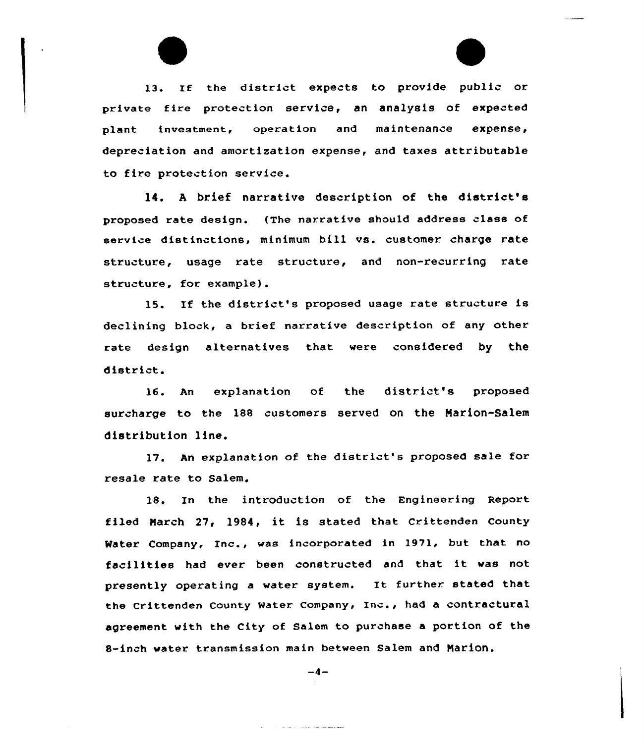13. If the district expects to provide public or private fire protection service, an analysis of expected plant investment, operation and maintenance expense, depreciation and amortization expense, and taxes attributable to fire protection service.

14. <sup>A</sup> brief narrative description of the district's proposed rate design. (The narrative should address class of service distinctions, minimum bill vs. customer charge rate structure, usage rate structure, and non-recurring rate structure, for example).

15. If the district's proposed usage rate structure is declining block, a brief narrative description of any other rate design alternatives that were considered by the district.

16. An explanation of the district's proposed surcharge to the 188 customers served on the Marion-Salem distribution line.

17. An explanation of the district's proposed sale for resale rate to Salem.

18. In the introduction of the Engineering Report filed March 27, 1984, it is stated that Crittenden County Water Company, Inc., was incorporated in 1971, hut that no facilities had ever been constructed and that it was not presently operating <sup>a</sup> water system. It further stated that the Crittenden County Water Company, Inc., had a contractural agreement with the City of Salem to purchase a portion of the 8-inch water transmission main between Salem and Marion.

$$
-4-
$$

and the same contract surface and announcement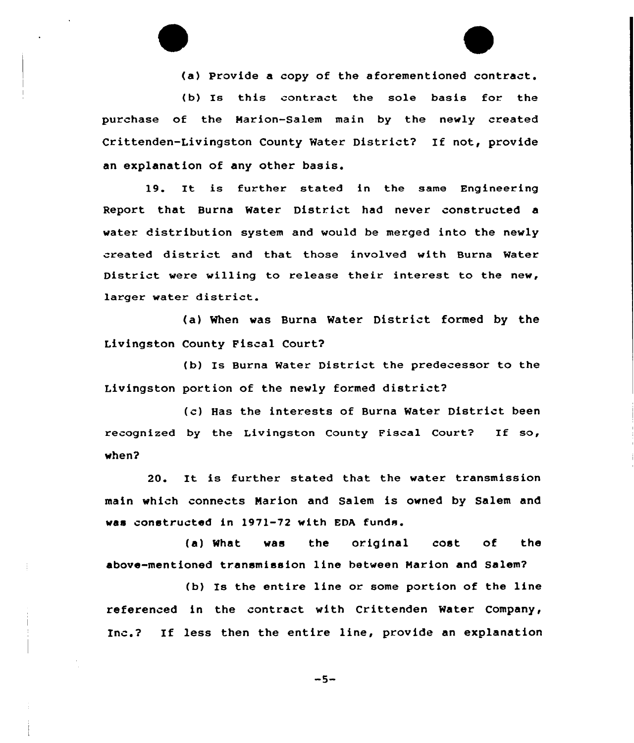(a) Provide a copy of the aforementioned contract.

(b) Is this contract the sole basis for the purchase of the Marion-Salem main by the newly created Crittenden-Livingston County Water District? If not, provide an explanation of any other basis.

19. It is further stated in the same Engineering Report that Burna Water District had never constructed a water distribution system and would be merged into the newly created district and that those involved with Burna Water District were willing to release their interest to the new, larger water district.

(a) When was Burna Water District formed by the Livingston County Fiscal Court?

(b) Is Burns Water District the predecessor to the Livingston portion of the newly formed district?

(c) Has the interests of Burna Water District been recognized by the Livingston County Fiscal Court? If  $so$ , when?

20. It is further stated that the water transmission main which connects Narion and Salem is owned by Salem and was constructed in 1971-72 with EDA funds.

(a) What was the original cost of the above-mentioned transmission line between Marion and Salem?

(b) Is the entire line or some portion of the line referenced in the contract with Crittenden Water Company, Inc.? If less then the entire line, provide an explanation

 $-5-$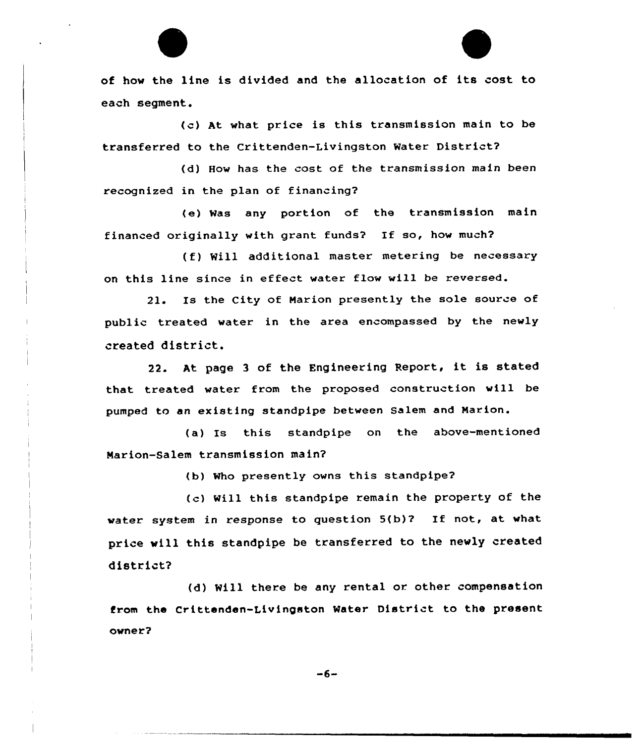of how the line is divided and the allocation of its cost to each segment.

(c) At what price is this transmission main to be transferred to the Crittenden-Livingston Water District?

(d) How has the cost of the transmission main been recognized in the plan of financing?

(e) Was any portion of the transmission main financed originally with grant funds? If so, how much?

(f) Will additional master metering be necessary on this line since in effect water flow will be reversed.

21. Is the City of Marion presently the sole source of public treated water in the area encompassed by the newly created district.

22. At page 3 of the Engineering Report, it is stated that treated water from the proposed construction will be pumped to an existing standpipe between Salem and Narion.

(a) Is this standpipe on the above-mentioned Marion-Salem transmission main?

(b) Who presently owns this standpipe?

(c) Will this standpipe remain the property of the water system in response to question 5(b)? If not, at what price will this standpipe be transferred to the newly created district?

(d) Will there be any rental or. other compensation from the Crittenden-Livingston Mater District to the present owner?

 $-6-$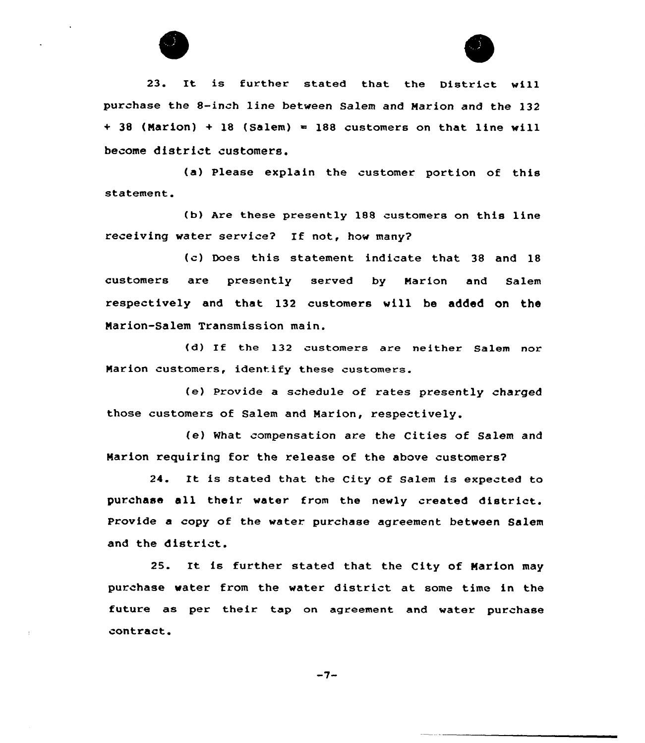

23. It is further stated that the District vill purchase the 8-inch line between Salem and Marion and the 132  $+$  38 (Marion)  $+$  18 (Salem) = 188 customers on that line will become district customers.

(a) Please explain the customer portion of this statement.

(b) Are these presently 188 customers on this line receiving water service? If not, how many?

(c) Does this statement indicate that 38 and 18 customers are presently served by Marion and Salem respectively and that 132 customers will be added on the Narion-Salem Transmission main.

{d) If the 132 customers are neither Salem nor Narion customers, identify these customers.

(e) Provide a schedule of rates presently charged those customers of Salem and Marion, respectively.

(e) What compensation are the Cities of Salem and Narion requiring for the release of the above customers?

24. It is stated that the City of Salem is expected to purchase all their water from the newly created district. Provide a copy of the water purchase agreement between Salem and the district.

25. It is further stated that the City of Marion may purchase water from the water district at some time in the future as per their tap on agreement and water purchase contract.

 $-7-$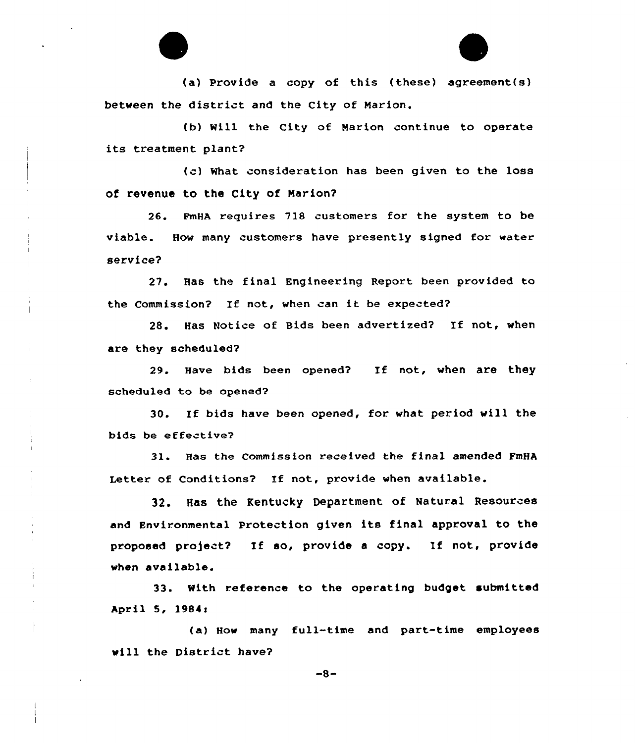(a) provide a copy of this (these) agreement(s) between the district and the City of Marion.

(b) Will the City of Marion continue to operate its treatment plant?

(c) What consideration has been given to the loss of revenue to the City of Marion?

26. FmHA requires 718 customers for the system to be viable. How many customers have presently signed for water service?

27. Has the final Engineering Report been provided to the Commission? If not, when can it be expected?

28. Has Notice of Bids been advertized? If not, when are they scheduled?

29. Have bids been opened2 If not, when are they scheduled to be opened2

30. If bids have been opened, for what period will the bids be effective?

31. Has the Commission received the final amended FmHA Letter of Conditions? If not, provide when available.

32. Has the Kentucky Department of Natural Resources and Environmental protection given its final approval to the proposed pro)ect? If so, provide <sup>a</sup> copy. If not, provide when available.

33. With reference to the operating budget submitted April 5, 1984<

(a) How many full-time and part-time employees will the District have?

 $-8-$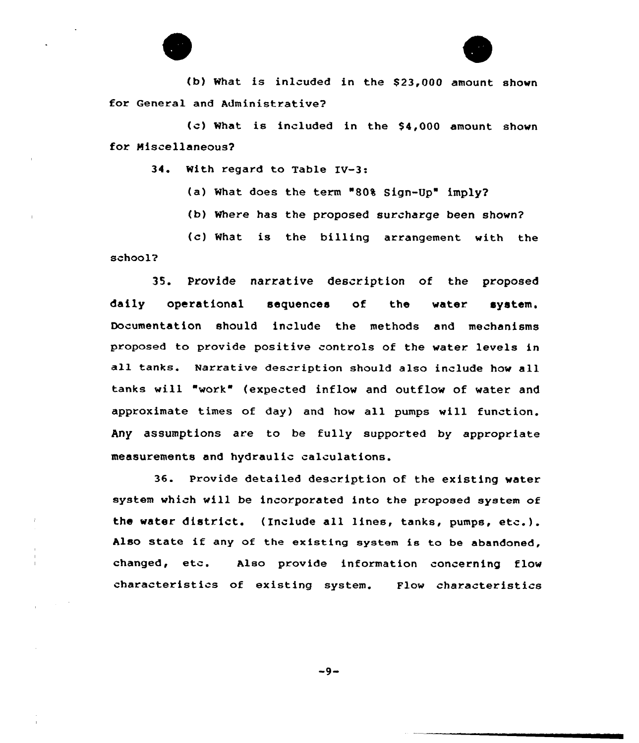

(b) What is inlcuded in the \$23,000 amount shown for General and Administrative?

(c) What is included in the \$4,000 amount shown for Miscellaneous?

34. With regard to Table IV-3:

(a) What does the term "80% Sign-Up" imply?

(b) Where has the proposed surcharge been shovn?

(c) What is the billing arrangement with the school?

35. Provide narrative description of the proposed daily operational sequences of the vater. system. Documentation should include the methods and mechanisms proposed to provide positive controls of the water levels in all tanks. Narrative description should also include how all tanks will "work" (expected inflow and outflow of water and approximate times of day) and how all pumps will function. Any assumptions are to be fully supported by appropriate measurements and hydraulic calculations.

36. Provide detailed description of the existing water system which will be incorporated into the proposed system of the water district. (Include all lines, tanks, pumps, etc.). Also state if any of the existing system ia to be abandoned, changed, etc. Also provide information concerning flow characteristics of existing system. Flow characteristics

 $-9-$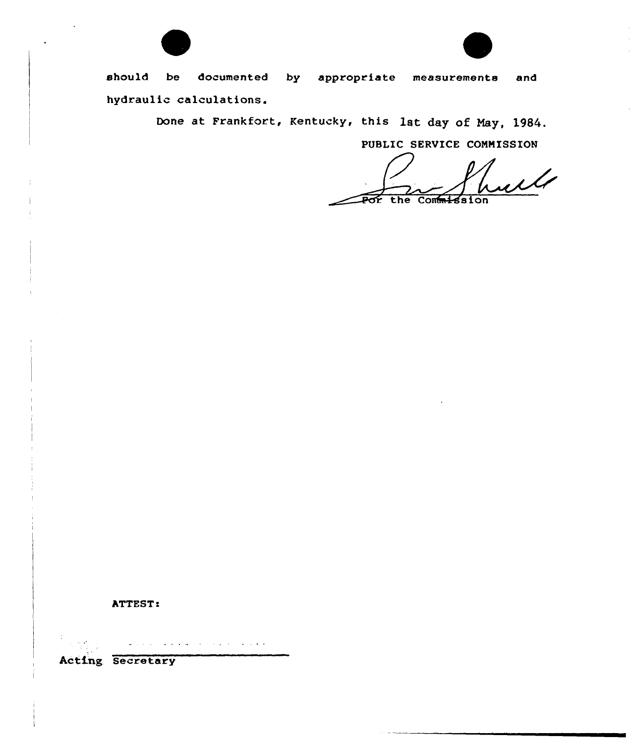



should be documented by appropriate measurements and hydraulic calculations.

Done at Frankfort, Kentucky, this lat day of May, 1984.

PUBLIC SERUICE CONNISSION

 $\mathcal{M}$ the Commission



المتحادية المنتوب المناسبة متحاديات والتحا

Acting Secretary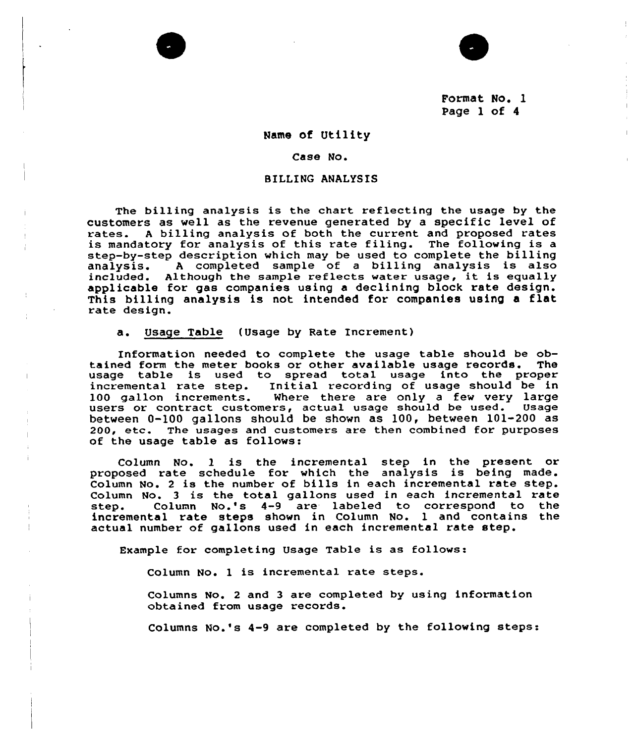Format No. 1 Page 1 of <sup>4</sup>

 $\mathbb T$ 

#### Name of Utility

#### Case No.

#### BILLING ANALYSIS

The billing analysis is the chart reflecting the usage by the customers as well as the revenue generated by a specific level of rates.<br>rates. A billing analysis of both the current and proposed rates is mandatory for analysis of this rate filing. The following is a step-by-step description which may be used to complete the billing<br>analysis. A completed sample of a billing analysis is also analysis. <sup>A</sup> completed sample of <sup>a</sup> billing analysis is also Although the sample reflects water usage, it is equally applicable for gas companies using a declining block rate design. This billing analysis is not intended for companies using <sup>a</sup> flat rate design.

a. Usage Table (Usage by Rate Increment)

Information needed to complete the usage table should be obtained form the meter books or other available usage records. The usage table is used to spread total usage into the proper incremental rate step. Initial recording of usage should be in 100 gallon increments. Where there are only a few very large users or contract customers, actual usage should be used. Usage between 0-100 gallons should be shown as 100, between 101-200 as 200, etc. The usages and customers are then combined for purposes of the usage table as follows:

Column No. 1 is the incremental step in the present or proposed rate schedule for which the analysis is being made. Column No. <sup>2</sup> is the number of bills in each incremental rate step. Column No. <sup>3</sup> is the total gallons used in each incremental rate Column No.'s 4-9 are labeled to correspond to incremental rate steps shown in Column No. 1 and contains the actual number of gallons used in each incremental rate step,

Example for completing Usage Table is as follows:

Column No. 1 is incremental rate steps.

Columns No. 2 and 3 are completed by using information obtained from usage records.

Columns No.'s 4-9 are completed by the following steps: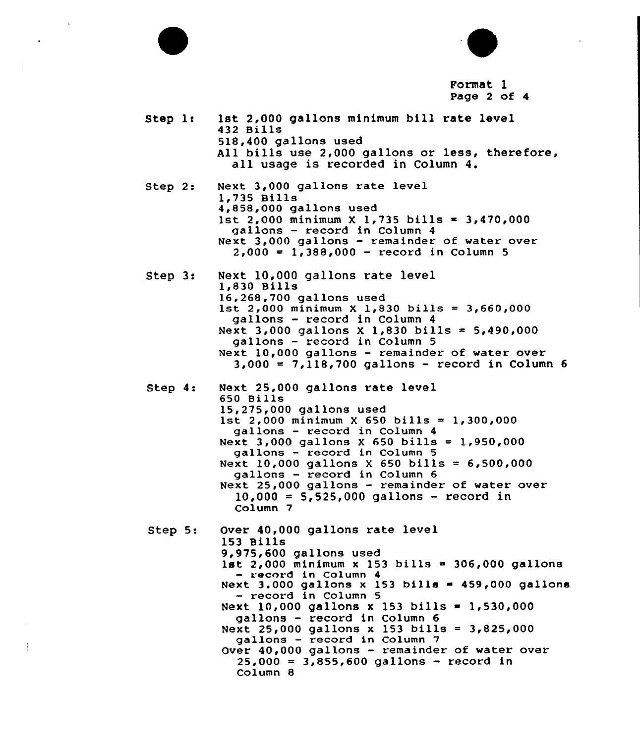

Column 7 Step 5: Over 40,000 gallons rate level 153 Bills 9,975,600 gallons used 1st  $2,000$  minimum x 153 bills = 306,000 gallons - record in Column 4 Next 3.000 gallons  $x$  153 bills = 459,000 gallons - record in Column 5 Next  $10,000$  gallons x 153 bills = 1,530,000 gallons — record in Column 6 Next 25,000 gallons x 153 bills =  $3,825,000$ gallons — record in Column 7 Over 40,000 gallons — remainder of water over  $25,000 = 3,855,600$  gallons - record in Column 8

 $Step 3:$ Next 10,000 gallons rate level 1,830 Bills<br>16,268,700 gallons used

1st 2,000 minimum X 1,830 bills = 3,660,000 gallons — record in Column 4 Next 3,000 gallons X 1,830 bills =  $5,490,000$ gallons — record in Column 5 Next 10,000 gallons — remainder of water over

432 Bills

Step  $l:$ 

Step  $2:$ 

Step 4: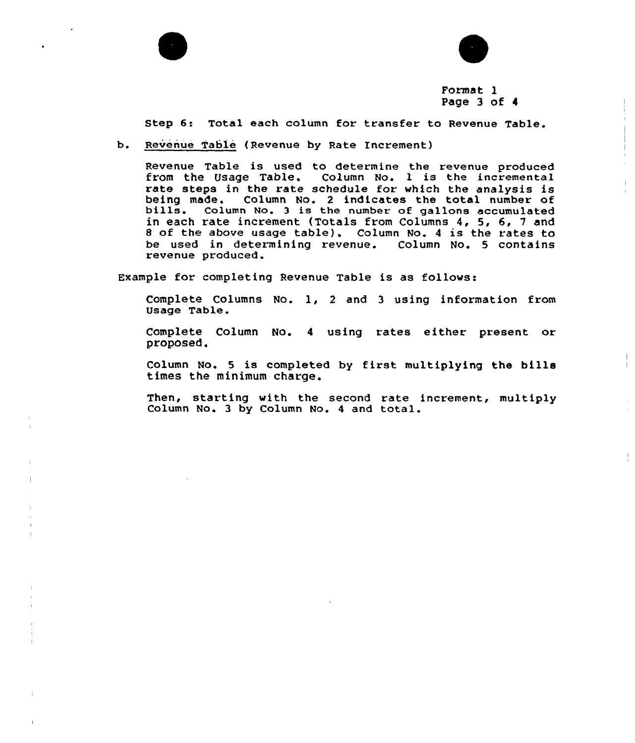



### Format l Page 3 of <sup>4</sup>

Step 6: Total each column for transfer to Revenue Table.

b. Revenue Table (Revenue by Rate Increment)

Revenue Table is used to determine the revenue produced from the Usage Table. Column No. 1 is the incremental rate steps in the rate schedule for which the analysis is being made. Column No. 2 indicates the total number of bills. Column No. 3 is the number of gallons accumulated in each rate increment (Totals from Columns 4, 5, 6, <sup>7</sup> and 8 of the above usage table). Column No. 4 is the rates to be used in determining revenue. Column No. 5 contains revenue produced.

Example for completing Revenue Table is as follows:

Complete Columns No. l, <sup>2</sup> and <sup>3</sup> using information from Usage Table.

Complete Column No. <sup>4</sup> using rates either present or proposed,

Column No. <sup>5</sup> is completed by first multiplying the bills times the minimum charge.

Then, starting with the second rate increment, multiply Column No. <sup>3</sup> by Column No. <sup>4</sup> and total.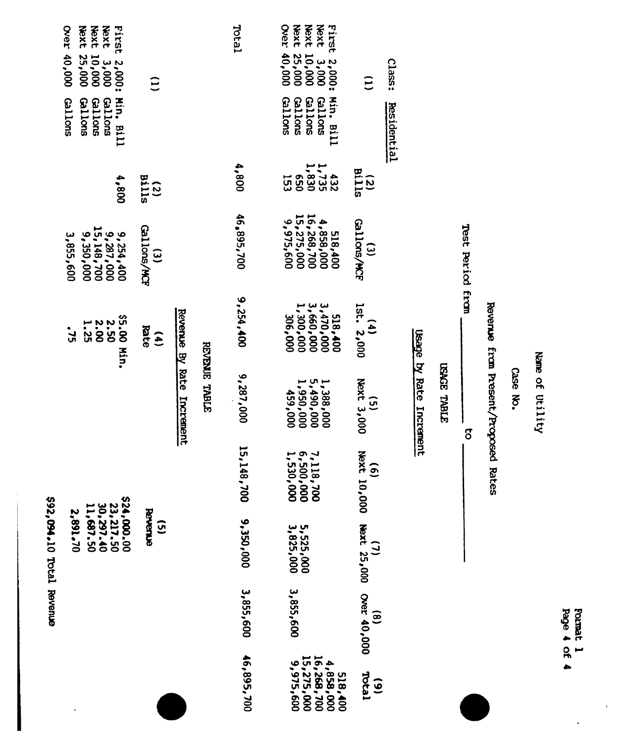| s92,094.10 Total Revenue | Over 40,000<br>Next 10,000<br>Next 25,000<br>First 2,000:<br><b>Gallons</b><br>Gallons<br>Min. Bill<br>Gallons<br>Gallons<br>008'1<br>$\begin{array}{l} 9,254,400 \\ 15,148,700 \\ 25,148,700 \\ 15,148,700 \end{array}$<br>3,855,600<br>\$5.00 Min.<br>2.50<br>2.00<br>1.25<br>$-75$<br>$$24,000,00$<br>$$23,217.50$<br>$$30,297.40$<br>$$11,687.50$<br>2,891.70 | $\hat{c}$<br><b>Bills</b><br>$\overline{c}$<br><b>Gallons/MCF</b><br>$\widehat{\epsilon}$<br>Rate<br>$\mathbf{a}$<br>Bevenue<br>$\overline{3}$ | Revenue By Rate Increment | REVENUE TABLE | Teral<br>008'<br>46,895,700<br>9,254,400<br>9,287,000<br>15,148,700<br>9,350,000 | <b>Next</b><br>Over 40,000<br><b>Vext</b><br><b>Next</b><br>First 2,000:<br>$3,000$<br>$3,000$<br>$25,000$<br><b>Gallons</b><br>Min. Bill<br><b>Gallons</b><br><b>Gallons</b><br><b>Gallons</b><br>1,735<br>1,830<br>357,1<br>432<br>153<br>$4,858,000$<br>16,268,700<br>15,275,000<br>9,975,600<br>518,400<br>3,470,000<br>3,660,000<br>1,300,000<br>518,400<br>306,000<br>$1,388,000$<br>000,886,15<br>$000'650$<br>$000'656'$<br>7,118,700<br>6,500,000<br>1,530,000<br>5,525,000<br>3,825,000 | $\widehat{\Xi}$<br>$(2)$<br>$Bi11s$<br>Gallons/MCF<br>$\widehat{\epsilon}$<br>$\frac{(4)}{1st}$ , 2,000<br>Next 3,000<br>$\overline{G}$<br>hext<br>$\widehat{\mathbf{a}}$<br>000'00 asxt 25,000 Over 40,000<br>10,000 Hext 25,000 Over 40,000 | class:<br><b>Residential</b> | Usage by Rate Increment | <b>GAGE TABLE</b> | Test Period from<br>$\overline{5}$ | Reverue from Present/Proposed Rates |
|--------------------------|-------------------------------------------------------------------------------------------------------------------------------------------------------------------------------------------------------------------------------------------------------------------------------------------------------------------------------------------------------------------|------------------------------------------------------------------------------------------------------------------------------------------------|---------------------------|---------------|----------------------------------------------------------------------------------|---------------------------------------------------------------------------------------------------------------------------------------------------------------------------------------------------------------------------------------------------------------------------------------------------------------------------------------------------------------------------------------------------------------------------------------------------------------------------------------------------|-----------------------------------------------------------------------------------------------------------------------------------------------------------------------------------------------------------------------------------------------|------------------------------|-------------------------|-------------------|------------------------------------|-------------------------------------|
|                          |                                                                                                                                                                                                                                                                                                                                                                   |                                                                                                                                                |                           |               |                                                                                  |                                                                                                                                                                                                                                                                                                                                                                                                                                                                                                   |                                                                                                                                                                                                                                               |                              |                         |                   |                                    |                                     |
|                          |                                                                                                                                                                                                                                                                                                                                                                   |                                                                                                                                                |                           | 3,855,600     | 3,855,600                                                                        |                                                                                                                                                                                                                                                                                                                                                                                                                                                                                                   |                                                                                                                                                                                                                                               |                              |                         |                   |                                    |                                     |
|                          |                                                                                                                                                                                                                                                                                                                                                                   |                                                                                                                                                |                           |               | 46,895,700                                                                       | $4,858,000$<br>16,268,700<br>15,275,000<br>9,975,600<br>518,400                                                                                                                                                                                                                                                                                                                                                                                                                                   | Total<br>$\ddot{\mathbf{6}}$                                                                                                                                                                                                                  |                              |                         |                   |                                    |                                     |

Name of Utility

Case No.

Format 1<br>Page 4 of 4

 $\ddot{\phantom{0}}$ 

 $\ddot{\phantom{0}}$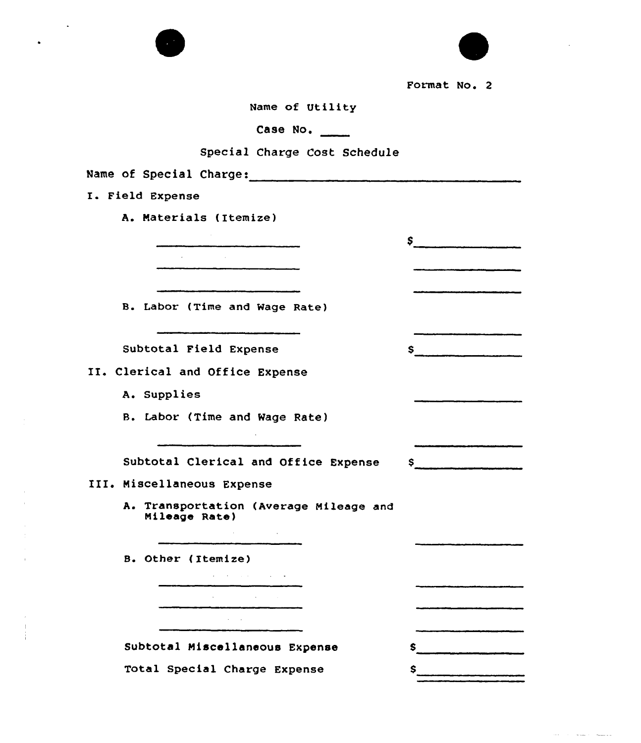

Format No. 2

 $\mathsf{S} \hspace{0.01in} \underbrace{\hspace{0.01in}}$ 

**Contract Service Communication** 

S.

Name of Utility

Case No.

### Special Charge Cost Schedule

Name of Special Charge:

I. Field Expense

A. Materials (Itemize)

B. Labor (Time and Wage Rate)

 $\sim 10^7$ 

Subtotal Field Expense

II. Clerical and Office Expense

A. Supplies

8. Labor (Time and Wage Rate)

Subtotal Clerical and Office Expense \$

III. Miscellaneous Expense

A. Transportation (Average Mileage and Mileage Rate)

B. Other ( Itemize)

 $\mathbf{r}$ 

| the company's company's company's company's |                    |                              |  |
|---------------------------------------------|--------------------|------------------------------|--|
|                                             |                    |                              |  |
| $\sim$ 100 $\mu$                            |                    | the contract of the contract |  |
|                                             |                    |                              |  |
|                                             | the company of the |                              |  |
|                                             |                    |                              |  |

Subtotal Miscellaneous Expense Total Special Charge Expense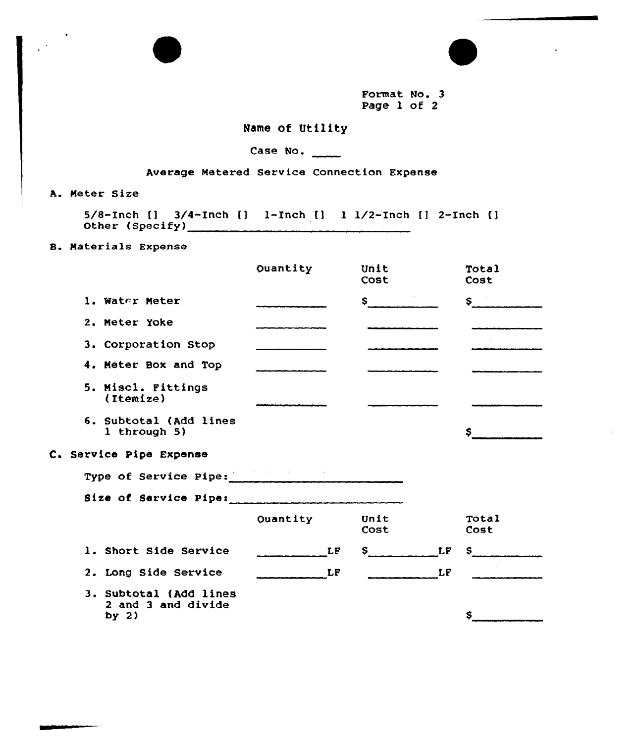Format No. 3 Page 1 of 2

## Name of Utility

# Case No.

## Average Metered Service Connection Expense

A. Meter Size

5/&-Inch [) 3/4-Inch [) 1-Inch [] <sup>1</sup> 1/2-Inch [1 2-Inch [) Other (Specify)

B. Materials Expense

|                                                         | Quantity | Unit<br>Cost | Total<br>Cost    |
|---------------------------------------------------------|----------|--------------|------------------|
| 1. Water Meter                                          |          | S in the set | $S^{\text{max}}$ |
| 2. Meter Yoke                                           |          |              |                  |
| 3. Corporation Stop                                     |          |              |                  |
| 4. Meter Box and Top                                    |          |              |                  |
| 5. Miscl. Fittings<br>(Itemize)                         |          |              |                  |
| 6. Subtotal (Add lines<br>1 through $5)$                |          |              |                  |
| C. Service Pipe Expense                                 |          |              |                  |
| Type of Service Pipe:                                   |          |              |                  |
| Size of Service Pipe:                                   |          |              |                  |
|                                                         | Ouantity | Unit<br>Cost | Total<br>Cost    |
| 1. Short Side Service                                   | LF       | LF<br>\$.    | S.               |
| 2. Long Side Service                                    | LF       | LF           |                  |
| 3. Subtotal (Add lines<br>2 and 3 and divide<br>by $2)$ |          |              | \$               |